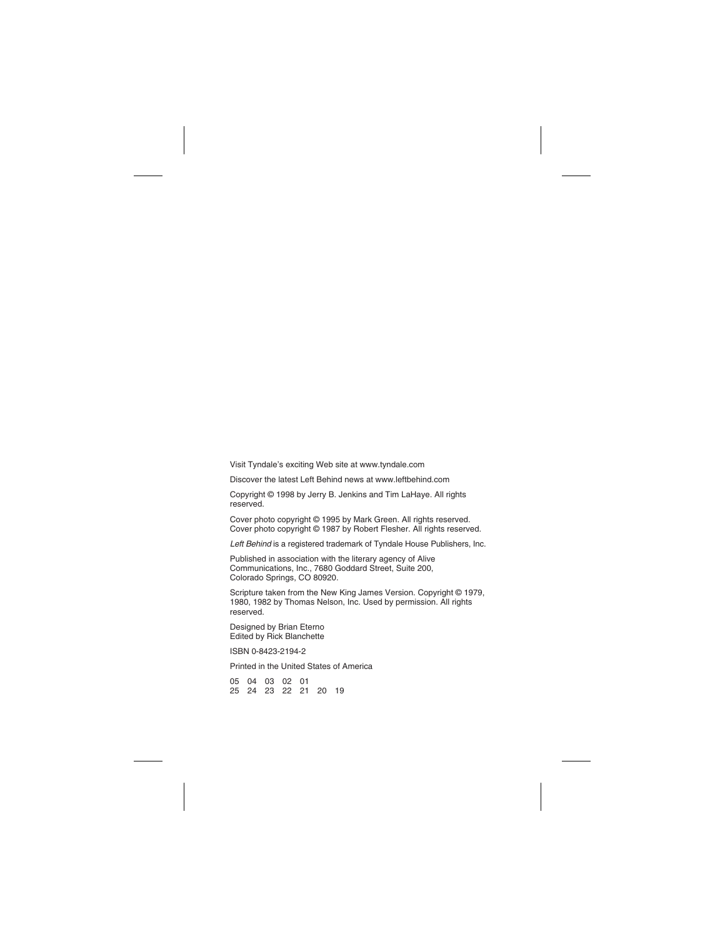Visit Tyndale's exciting Web site at www.tyndale.com

Discover the latest Left Behind news at www.leftbehind.com

Copyright © 1998 by Jerry B. Jenkins and Tim LaHaye. All rights reserved.

Cover photo copyright © 1995 by Mark Green. All rights reserved. Cover photo copyright © 1987 by Robert Flesher. All rights reserved.

Left Behind is a registered trademark of Tyndale House Publishers, Inc.

Published in association with the literary agency of Alive Communications, Inc., 7680 Goddard Street, Suite 200, Colorado Springs, CO 80920.

Scripture taken from the New King James Version. Copyright © 1979, 1980, 1982 by Thomas Nelson, Inc. Used by permission. All rights reserved.

Designed by Brian Eterno Edited by Rick Blanchette

ISBN 0-8423-2194-2

Printed in the United States of America

05 04 03 02 01 25 24 23 22 21 20 19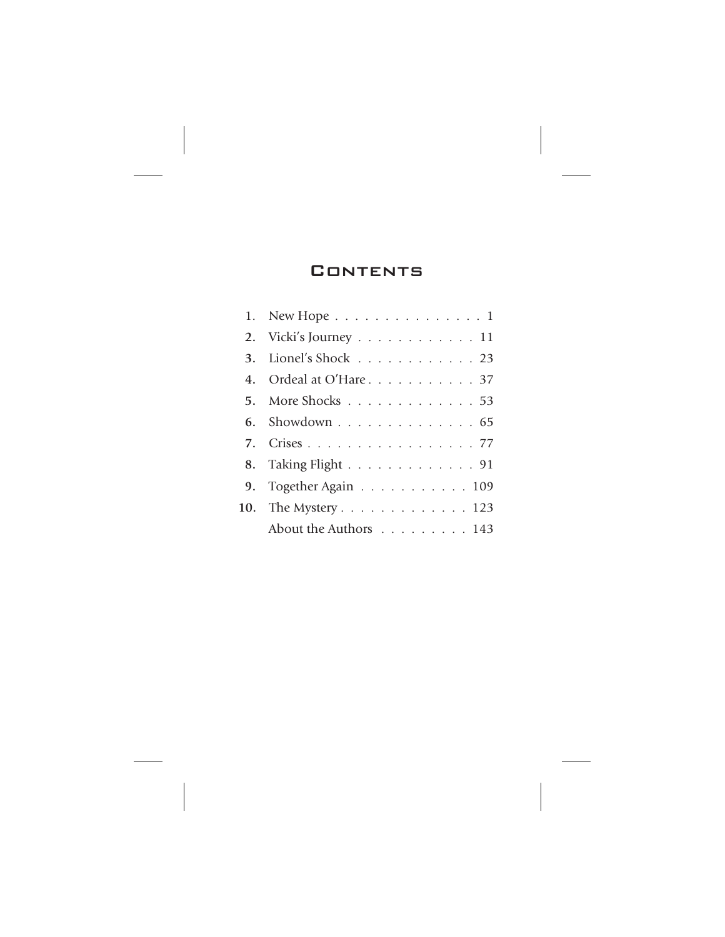## **CONTENTS**

| 1. New Hope 1                                   |
|-------------------------------------------------|
| 2. Vicki's Journey 11                           |
| 3. Lionel's Shock 23                            |
| 4. Ordeal at O'Hare 37                          |
| 5. More Shocks $\ldots \ldots \ldots \ldots 53$ |
| 6. Showdown 65                                  |
| 7. Crises 77                                    |
| 8. Taking Flight 91                             |
| 9. Together Again 109                           |
| 10. The Mystery 123                             |
| About the Authors 143                           |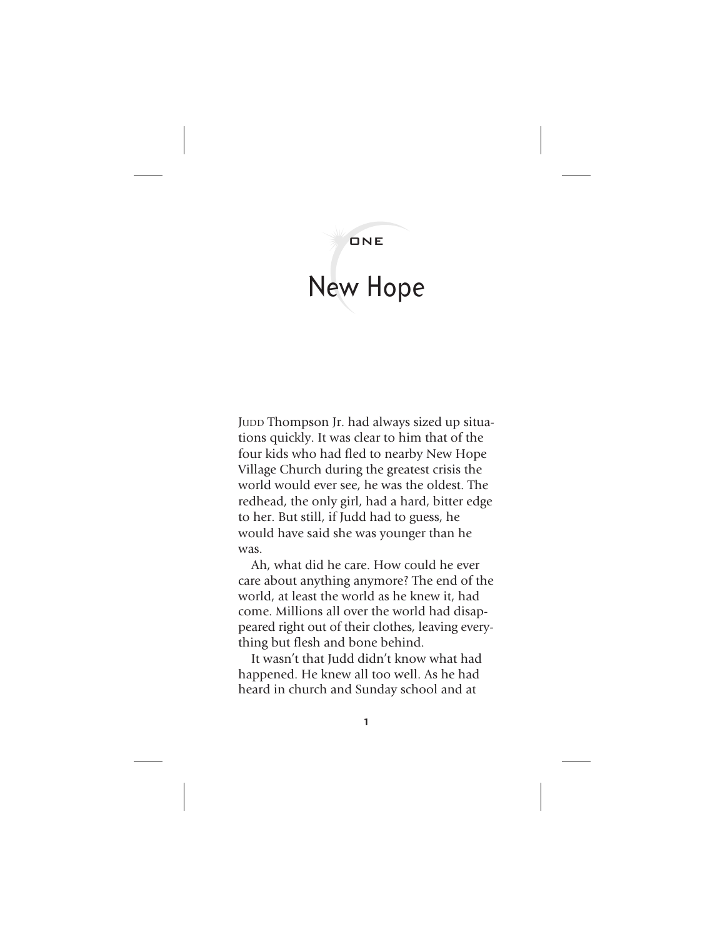## ONE

## New Hope

JUDD Thompson Jr. had always sized up situations quickly. It was clear to him that of the four kids who had fled to nearby New Hope Village Church during the greatest crisis the world would ever see, he was the oldest. The redhead, the only girl, had a hard, bitter edge to her. But still, if Judd had to guess, he would have said she was younger than he was.

Ah, what did he care. How could he ever care about anything anymore? The end of the world, at least the world as he knew it, had come. Millions all over the world had disappeared right out of their clothes, leaving everything but flesh and bone behind.

It wasn't that Judd didn't know what had happened. He knew all too well. As he had heard in church and Sunday school and at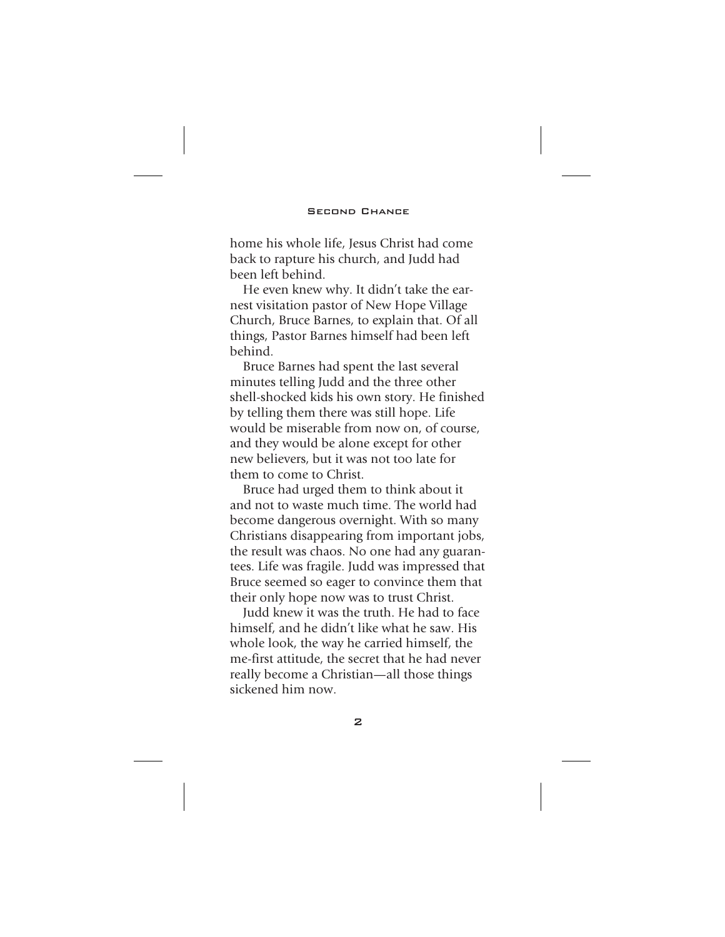home his whole life, Jesus Christ had come back to rapture his church, and Judd had been left behind.

He even knew why. It didn't take the earnest visitation pastor of New Hope Village Church, Bruce Barnes, to explain that. Of all things, Pastor Barnes himself had been left behind. *New Hope*

Bruce Barnes had spent the last several minutes telling Judd and the three other shell-shocked kids his own story. He finished by telling them there was still hope. Life would be miserable from now on, of course, and they would be alone except for other new believers, but it was not too late for them to come to Christ.

Bruce had urged them to think about it and not to waste much time. The world had become dangerous overnight. With so many Christians disappearing from important jobs, the result was chaos. No one had any guarantees. Life was fragile. Judd was impressed that Bruce seemed so eager to convince them that their only hope now was to trust Christ.

Judd knew it was the truth. He had to face himself, and he didn't like what he saw. His whole look, the way he carried himself, the me-first attitude, the secret that he had never really become a Christian—all those things sickened him now.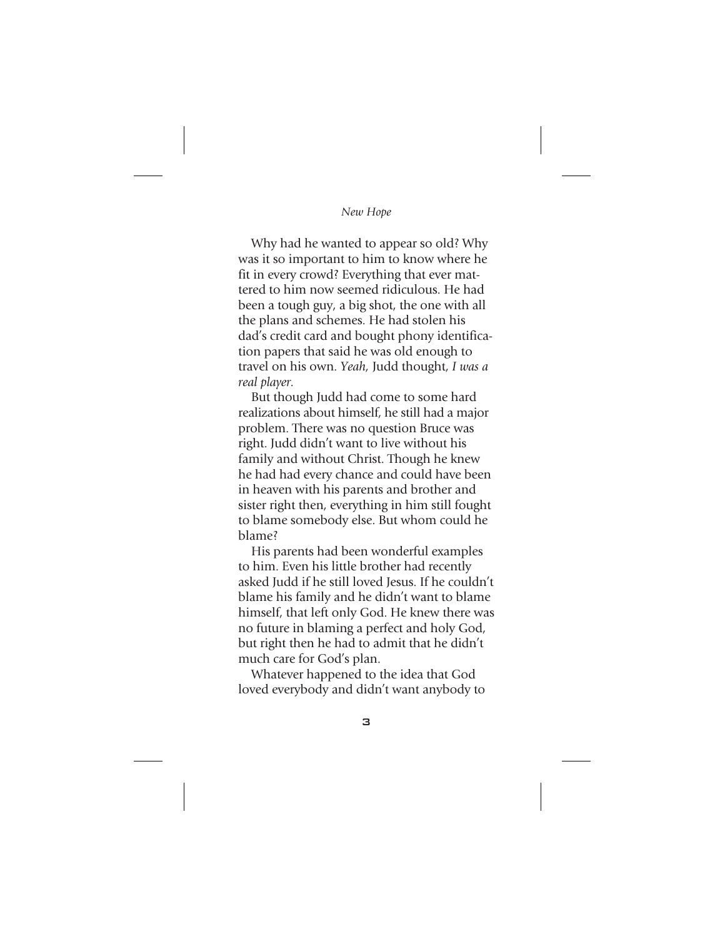Why had he wanted to appear so old? Why was it so important to him to know where he fit in every crowd? Everything that ever mattered to him now seemed ridiculous. He had been a tough guy, a big shot, the one with all the plans and schemes. He had stolen his dad's credit card and bought phony identification papers that said he was old enough to travel on his own. *Yeah,* Judd thought, *I was a real player.*

But though Judd had come to some hard realizations about himself, he still had a major problem. There was no question Bruce was right. Judd didn't want to live without his family and without Christ. Though he knew he had had every chance and could have been in heaven with his parents and brother and sister right then, everything in him still fought to blame somebody else. But whom could he blame?

His parents had been wonderful examples to him. Even his little brother had recently asked Judd if he still loved Jesus. If he couldn't blame his family and he didn't want to blame himself, that left only God. He knew there was no future in blaming a perfect and holy God, but right then he had to admit that he didn't much care for God's plan.

Whatever happened to the idea that God loved everybody and didn't want anybody to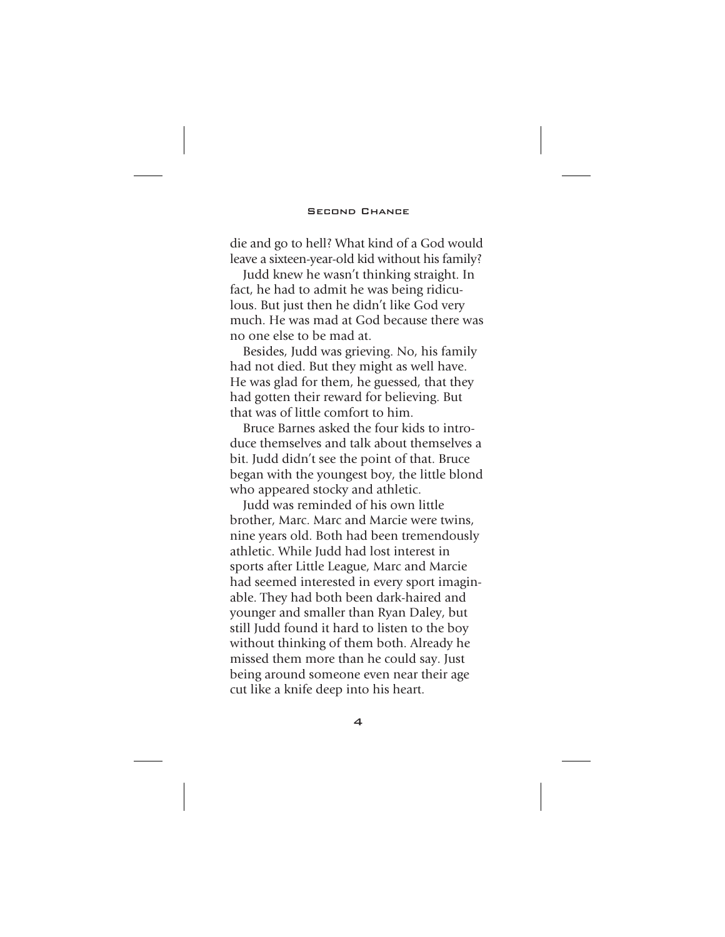die and go to hell? What kind of a God would leave a sixteen-year-old kid without his family?

Judd knew he wasn't thinking straight. In fact, he had to admit he was being ridiculous. But just then he didn't like God very much. He was mad at God because there was no one else to be mad at.

Besides, Judd was grieving. No, his family had not died. But they might as well have. He was glad for them, he guessed, that they had gotten their reward for believing. But that was of little comfort to him.

Bruce Barnes asked the four kids to introduce themselves and talk about themselves a bit. Judd didn't see the point of that. Bruce began with the youngest boy, the little blond who appeared stocky and athletic.

Judd was reminded of his own little brother, Marc. Marc and Marcie were twins, nine years old. Both had been tremendously athletic. While Judd had lost interest in sports after Little League, Marc and Marcie had seemed interested in every sport imaginable. They had both been dark-haired and younger and smaller than Ryan Daley, but still Judd found it hard to listen to the boy without thinking of them both. Already he missed them more than he could say. Just being around someone even near their age cut like a knife deep into his heart.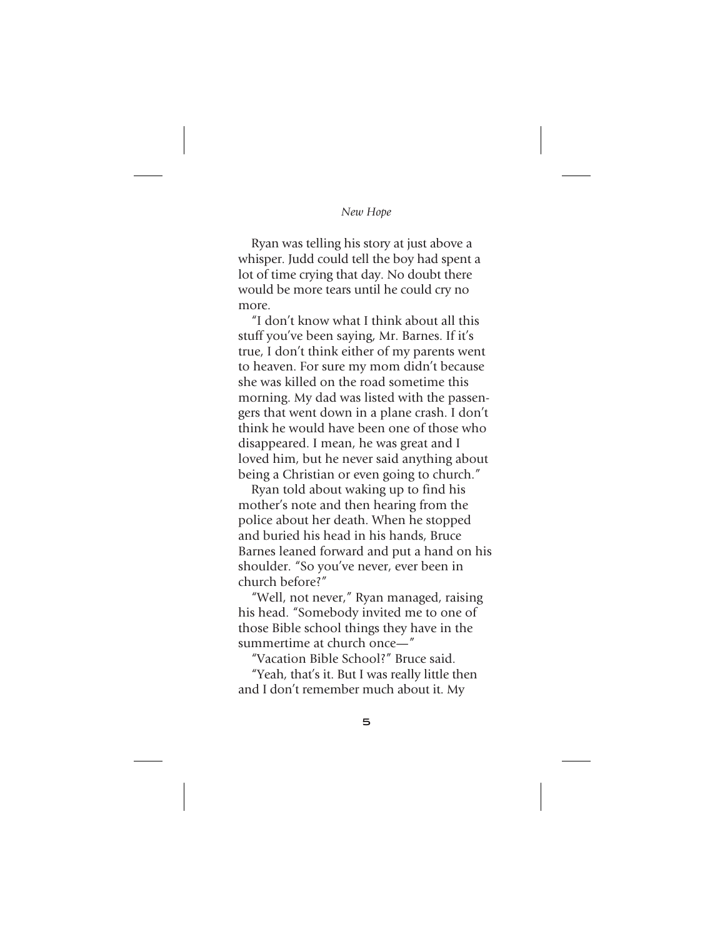## *New Hope*

Ryan was telling his story at just above a whisper. Judd could tell the boy had spent a lot of time crying that day. No doubt there would be more tears until he could cry no more.

"I don't know what I think about all this stuff you've been saying, Mr. Barnes. If it's true, I don't think either of my parents went to heaven. For sure my mom didn't because she was killed on the road sometime this morning. My dad was listed with the passengers that went down in a plane crash. I don't think he would have been one of those who disappeared. I mean, he was great and I loved him, but he never said anything about being a Christian or even going to church."

Ryan told about waking up to find his mother's note and then hearing from the police about her death. When he stopped and buried his head in his hands, Bruce Barnes leaned forward and put a hand on his shoulder. "So you've never, ever been in church before?"

"Well, not never," Ryan managed, raising his head. "Somebody invited me to one of those Bible school things they have in the summertime at church once-"

"Vacation Bible School?" Bruce said.

"Yeah, that's it. But I was really little then and I don't remember much about it. My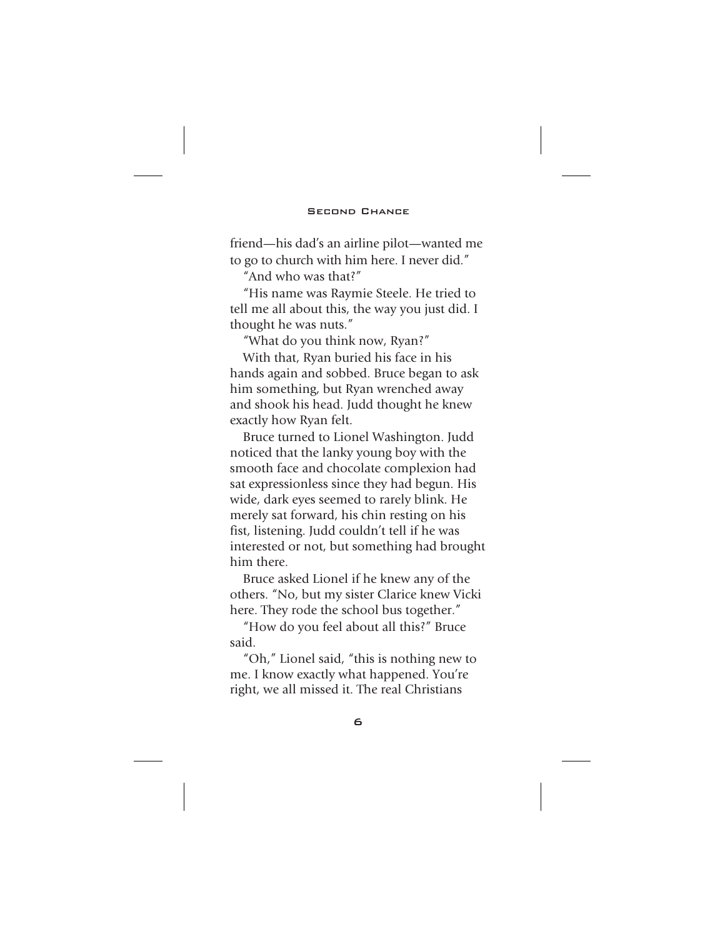friend—his dad's an airline pilot—wanted me to go to church with him here. I never did."

"And who was that?"

"His name was Raymie Steele. He tried to tell me all about this, the way you just did. I thought he was nuts."

"What do you think now, Ryan?" With that, Ryan buried his face in his hands again and sobbed. Bruce began to ask him something, but Ryan wrenched away and shook his head. Judd thought he knew exactly how Ryan felt.

Bruce turned to Lionel Washington. Judd noticed that the lanky young boy with the smooth face and chocolate complexion had sat expressionless since they had begun. His wide, dark eyes seemed to rarely blink. He merely sat forward, his chin resting on his fist, listening. Judd couldn't tell if he was interested or not, but something had brought him there.

Bruce asked Lionel if he knew any of the others. "No, but my sister Clarice knew Vicki here. They rode the school bus together."

"How do you feel about all this?" Bruce said.

"Oh," Lionel said, "this is nothing new to me. I know exactly what happened. You're right, we all missed it. The real Christians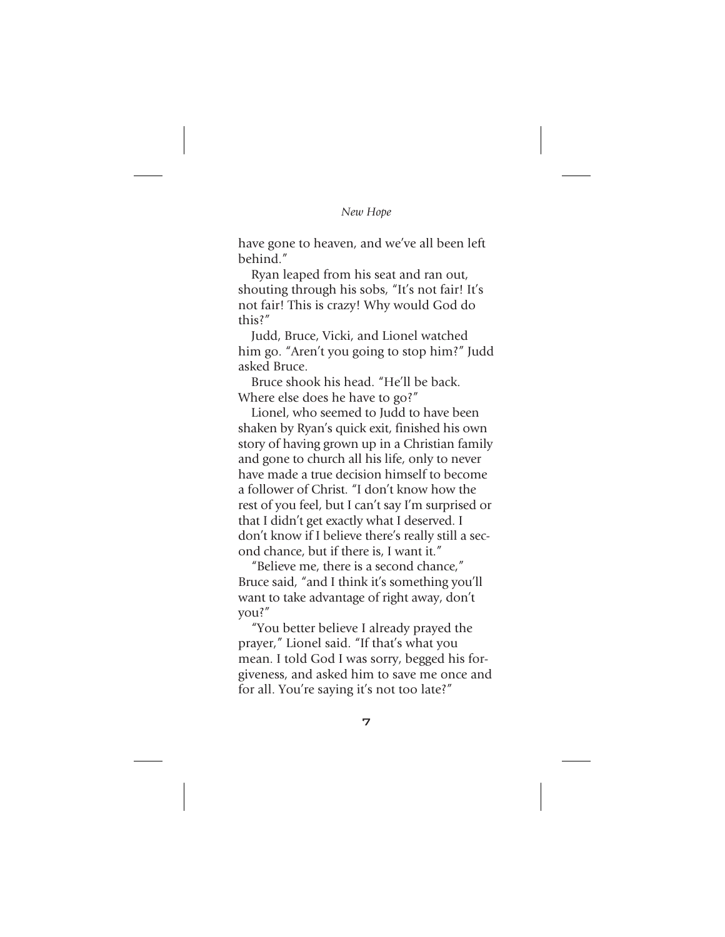have gone to heaven, and we've all been left behind."

Ryan leaped from his seat and ran out, shouting through his sobs, "It's not fair! It's not fair! This is crazy! Why would God do this?"

Judd, Bruce, Vicki, and Lionel watched him go. "Aren't you going to stop him?" Judd asked Bruce.

Bruce shook his head. "He'll be back. Where else does he have to go?"

Lionel, who seemed to Judd to have been shaken by Ryan's quick exit, finished his own story of having grown up in a Christian family and gone to church all his life, only to never have made a true decision himself to become a follower of Christ. "I don't know how the rest of you feel, but I can't say I'm surprised or that I didn't get exactly what I deserved. I don't know if I believe there's really still a second chance, but if there is, I want it."

"Believe me, there is a second chance," Bruce said, "and I think it's something you'll want to take advantage of right away, don't you?"

"You better believe I already prayed the prayer," Lionel said. "If that's what you mean. I told God I was sorry, begged his forgiveness, and asked him to save me once and for all. You're saying it's not too late?"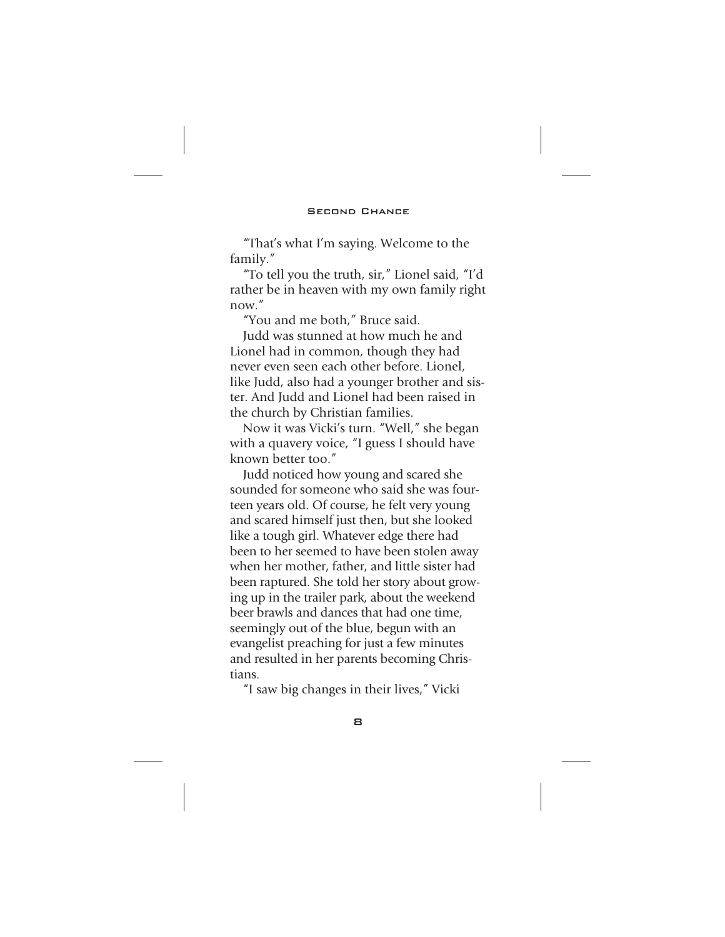"That's what I'm saying. Welcome to the family."

"To tell you the truth, sir," Lionel said, "I'd rather be in heaven with my own family right now."

"You and me both," Bruce said.

Judd was stunned at how much he and Lionel had in common, though they had never even seen each other before. Lionel, like Judd, also had a younger brother and sister. And Judd and Lionel had been raised in the church by Christian families.

Now it was Vicki's turn. "Well," she began with a quavery voice, "I guess I should have known better too."

Judd noticed how young and scared she sounded for someone who said she was fourteen years old. Of course, he felt very young and scared himself just then, but she looked like a tough girl. Whatever edge there had been to her seemed to have been stolen away when her mother, father, and little sister had been raptured. She told her story about growing up in the trailer park, about the weekend beer brawls and dances that had one time, seemingly out of the blue, begun with an evangelist preaching for just a few minutes and resulted in her parents becoming Christians.

"I saw big changes in their lives," Vicki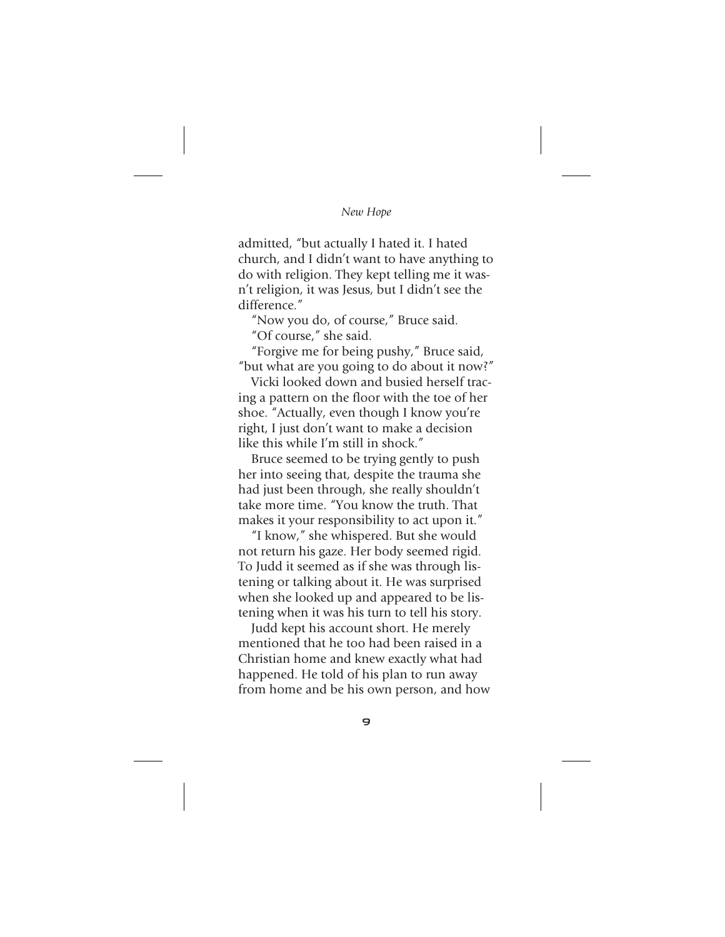admitted, "but actually I hated it. I hated church, and I didn't want to have anything to do with religion. They kept telling me it wasn't religion, it was Jesus, but I didn't see the difference<sup>"</sup>

"Now you do, of course," Bruce said.

"Of course," she said.

"Forgive me for being pushy," Bruce said, "but what are you going to do about it now?"

Vicki looked down and busied herself tracing a pattern on the floor with the toe of her shoe. "Actually, even though I know you're right, I just don't want to make a decision like this while I'm still in shock"

Bruce seemed to be trying gently to push her into seeing that, despite the trauma she had just been through, she really shouldn't take more time. "You know the truth. That makes it your responsibility to act upon it."

"I know," she whispered. But she would not return his gaze. Her body seemed rigid. To Judd it seemed as if she was through listening or talking about it. He was surprised when she looked up and appeared to be listening when it was his turn to tell his story.

Judd kept his account short. He merely mentioned that he too had been raised in a Christian home and knew exactly what had happened. He told of his plan to run away from home and be his own person, and how